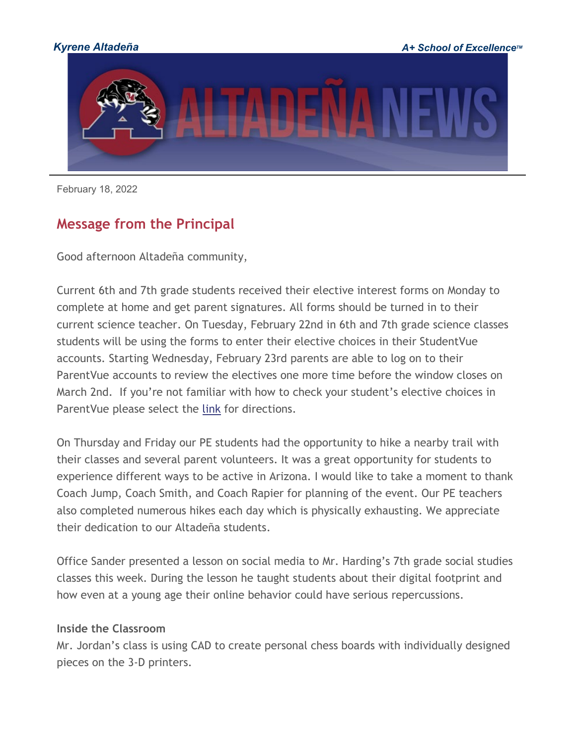

February 18, 2022

# **Message from the Principal**

Good afternoon Altadeña community,

Current 6th and 7th grade students received their elective interest forms on Monday to complete at home and get parent signatures. All forms should be turned in to their current science teacher. On Tuesday, February 22nd in 6th and 7th grade science classes students will be using the forms to enter their elective choices in their StudentVue accounts. Starting Wednesday, February 23rd parents are able to log on to their ParentVue accounts to review the electives one more time before the window closes on March 2nd. If you're not familiar with how to check your student's elective choices in ParentVue please select the [link](http://track.spe.schoolmessenger.com/f/a/r-lYgcmJwRuOKOvjsi6gmw%7E%7E/AAAAAQA%7E/RgRj8VDBP0R1aHR0cHM6Ly93d3cua3lyZW5lLm9yZy9jbXMvbGliL0FaMDEwMDEwODMvQ2VudHJpY2l0eS9Eb21haW4vMzgwOS9FbGVjdGl2ZSUyMENvdXJzZSUyMFJlcXVlc3RzJTIwUGFyZW50VlVFJTIwR3VpZGUucGRmVwdzY2hvb2xtQgpiA0EdEGL7xwWHUhBzcmF0aEBreXJlbmUub3JnWAQAAAAB) for directions.

On Thursday and Friday our PE students had the opportunity to hike a nearby trail with their classes and several parent volunteers. It was a great opportunity for students to experience different ways to be active in Arizona. I would like to take a moment to thank Coach Jump, Coach Smith, and Coach Rapier for planning of the event. Our PE teachers also completed numerous hikes each day which is physically exhausting. We appreciate their dedication to our Altadeña students.

Office Sander presented a lesson on social media to Mr. Harding's 7th grade social studies classes this week. During the lesson he taught students about their digital footprint and how even at a young age their online behavior could have serious repercussions.

#### **Inside the Classroom**

Mr. Jordan's class is using CAD to create personal chess boards with individually designed pieces on the 3-D printers.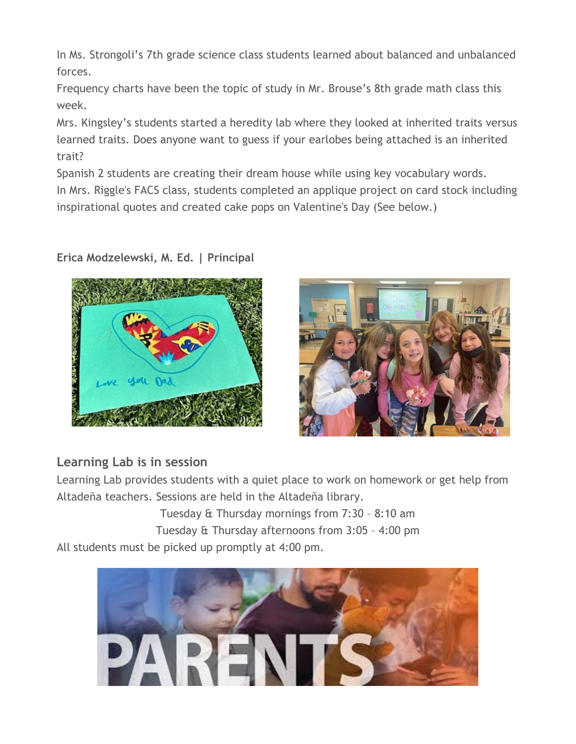In Ms. Strongoli's 7th grade science class students learned about balanced and unbalanced forces.

Frequency charts have been the topic of study in Mr. Brouse's 8th grade math class this week.

Mrs. Kingsley's students started a heredity lab where they looked at inherited traits versus learned traits. Does anyone want to guess if your earlobes being attached is an inherited trait?

Spanish 2 students are creating their dream house while using key vocabulary words. In Mrs. Riggle's FACS class, students completed an applique project on card stock including inspirational quotes and created cake pops on Valentine's Day (See below.)

## **Erica Modzelewski, M. Ed. | Principal**





## **Learning Lab is in session**

Learning Lab provides students with a quiet place to work on homework or get help from Altadeña teachers. Sessions are held in the Altadeña library.

Tuesday & Thursday mornings from 7:30 – 8:10 am Tuesday & Thursday afternoons from 3:05 – 4:00 pm All students must be picked up promptly at 4:00 pm.

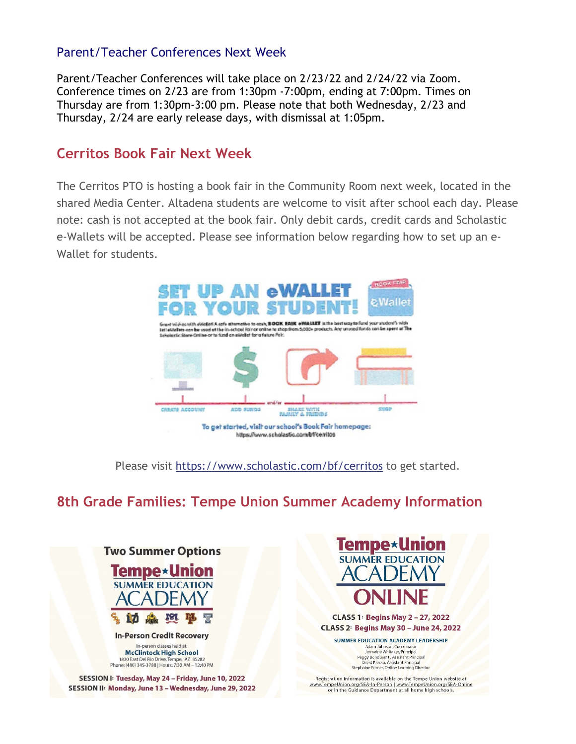#### Parent/Teacher Conferences Next Week

Parent/Teacher Conferences will take place on 2/23/22 and 2/24/22 via Zoom. Conference times on 2/23 are from 1:30pm -7:00pm, ending at 7:00pm. Times on Thursday are from 1:30pm-3:00 pm. Please note that both Wednesday, 2/23 and Thursday, 2/24 are early release days, with dismissal at 1:05pm.

#### **Cerritos Book Fair Next Week**

The Cerritos PTO is hosting a book fair in the Community Room next week, located in the shared Media Center. Altadena students are welcome to visit after school each day. Please note: cash is not accepted at the book fair. Only debit cards, credit cards and Scholastic e-Wallets will be accepted. Please see information below regarding how to set up an e-Wallet for students.



Please visit [https://www.scholastic.com/bf/cerritos](http://track.spe.schoolmessenger.com/f/a/FKFaHWZnlrm1nHzGYVjtgA%7E%7E/AAAAAQA%7E/RgRj8VDBP0QmaHR0cHM6Ly93d3cuc2Nob2xhc3RpYy5jb20vYmYvY2Vycml0b3NXB3NjaG9vbG1CCmIDQR0QYvvHBYdSEHNyYXRoQGt5cmVuZS5vcmdYBAAAAAE%7E) to get started.

## **8th Grade Families: Tempe Union Summer Academy Information**



SESSION I: Tuesday, May 24 - Friday, June 10, 2022 SESSION II: Monday, June 13 - Wednesday, June 29, 2022



**CLASS 1: Begins May 2-27, 2022 CLASS 2: Begins May 30 - June 24, 2022** 

**SUMMER EDUCATION ACADEMY LEADERSHIP** 

Stephaine Frimer, Online Learning Director

Registration information is available on the Tempe Union website at www.TempeUnion.org/SEA-In-Person | www.TempeUnion.org/SEA-Online or in the Guidance Department at all home high schools.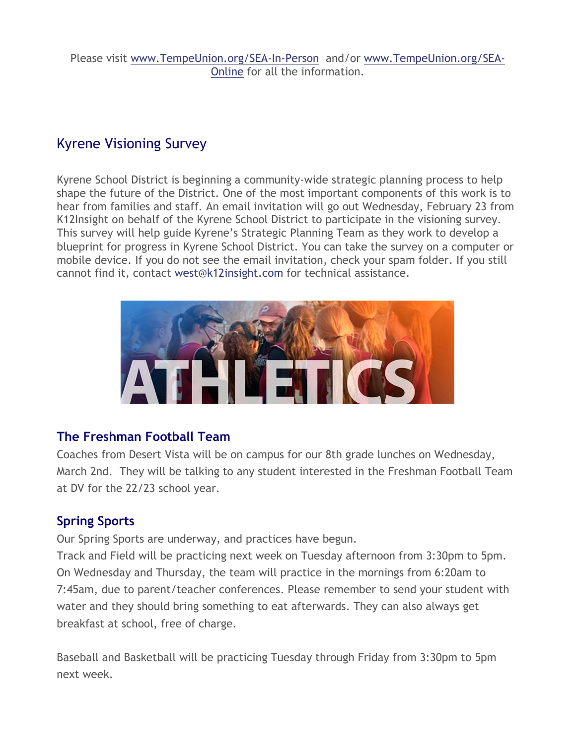Please visit [www.TempeUnion.org/SEA-In-Person](http://track.spe.schoolmessenger.com/f/a/JD2KcQpT8V3DeRczxKU6GQ%7E%7E/AAAAAQA%7E/RgRj8VDBP0QoaHR0cHM6Ly93d3cudGVtcGV1bmlvbi5vcmcvU0VBLUluLVBlcnNvblcHc2Nob29sbUIKYgNBHRBi-8cFh1IQc3JhdGhAa3lyZW5lLm9yZ1gEAAAAAQ%7E%7E) and/or [www.TempeUnion.org/SEA-](http://track.spe.schoolmessenger.com/f/a/3SJrS0IrG5bkD1w0Sr5PCg%7E%7E/AAAAAQA%7E/RgRj8VDBP0QlaHR0cHM6Ly93d3cudGVtcGV1bmlvbi5vcmcvU0VBLU9ubGluZVcHc2Nob29sbUIKYgNBHRBi-8cFh1IQc3JhdGhAa3lyZW5lLm9yZ1gEAAAAAQ%7E%7E)[Online](http://track.spe.schoolmessenger.com/f/a/3SJrS0IrG5bkD1w0Sr5PCg%7E%7E/AAAAAQA%7E/RgRj8VDBP0QlaHR0cHM6Ly93d3cudGVtcGV1bmlvbi5vcmcvU0VBLU9ubGluZVcHc2Nob29sbUIKYgNBHRBi-8cFh1IQc3JhdGhAa3lyZW5lLm9yZ1gEAAAAAQ%7E%7E) for all the information.

## Kyrene Visioning Survey

Kyrene School District is beginning a community-wide strategic planning process to help shape the future of the District. One of the most important components of this work is to hear from families and staff. An email invitation will go out Wednesday, February 23 from K12Insight on behalf of the Kyrene School District to participate in the visioning survey. This survey will help guide Kyrene's Strategic Planning Team as they work to develop a blueprint for progress in Kyrene School District. You can take the survey on a computer or mobile device. If you do not see the email invitation, check your spam folder. If you still cannot find it, contact [west@k12insight.com](mailto:west@k12insight.com) for technical assistance.



## **The Freshman Football Team**

Coaches from Desert Vista will be on campus for our 8th grade lunches on Wednesday, March 2nd. They will be talking to any student interested in the Freshman Football Team at DV for the 22/23 school year.

## **Spring Sports**

Our Spring Sports are underway, and practices have begun.

Track and Field will be practicing next week on Tuesday afternoon from 3:30pm to 5pm. On Wednesday and Thursday, the team will practice in the mornings from 6:20am to 7:45am, due to parent/teacher conferences. Please remember to send your student with water and they should bring something to eat afterwards. They can also always get breakfast at school, free of charge.

Baseball and Basketball will be practicing Tuesday through Friday from 3:30pm to 5pm next week.